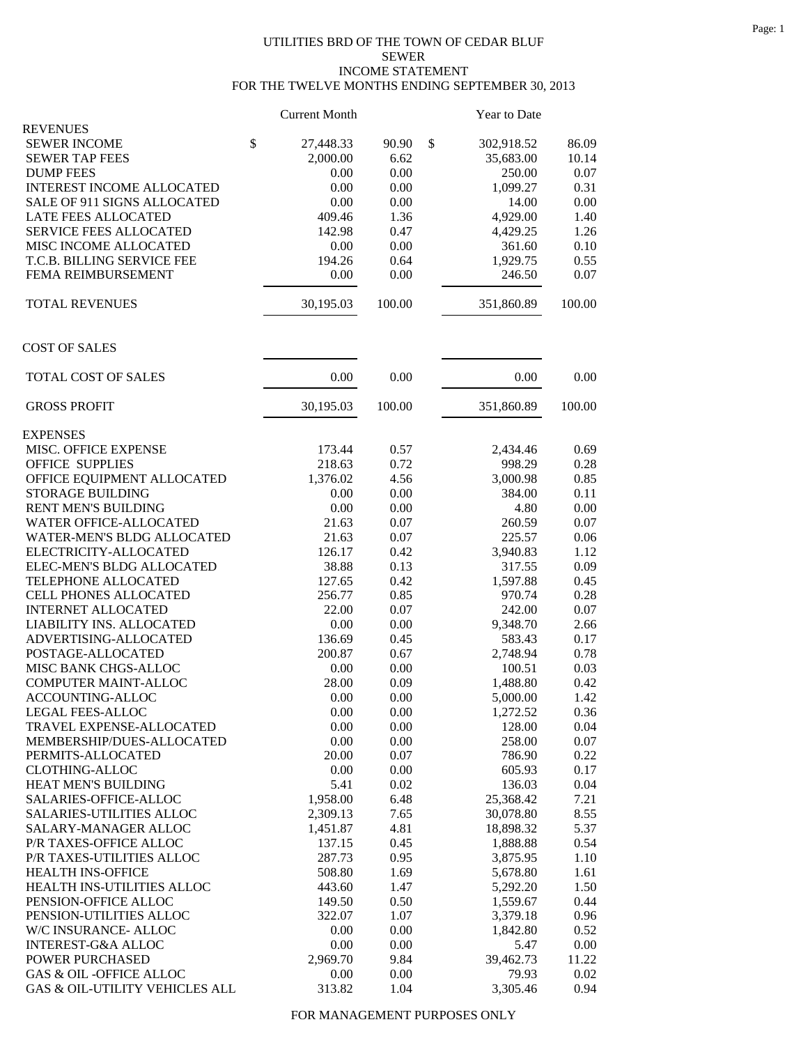## UTILITIES BRD OF THE TOWN OF CEDAR BLUF SEWER INCOME STATEMENT FOR THE TWELVE MONTHS ENDING SEPTEMBER 30, 2013

|                                              | <b>Current Month</b> |                  | Year to Date     |          |
|----------------------------------------------|----------------------|------------------|------------------|----------|
| <b>REVENUES</b>                              |                      |                  |                  |          |
| <b>SEWER INCOME</b>                          | \$<br>27,448.33      | 90.90            | \$<br>302,918.52 | 86.09    |
| <b>SEWER TAP FEES</b>                        |                      | 2,000.00<br>6.62 | 35,683.00        | 10.14    |
| <b>DUMP FEES</b>                             |                      | 0.00<br>0.00     | 250.00           | 0.07     |
| <b>INTEREST INCOME ALLOCATED</b>             |                      | 0.00<br>0.00     | 1,099.27         | 0.31     |
| SALE OF 911 SIGNS ALLOCATED                  |                      | 0.00<br>0.00     | 14.00            | 0.00     |
| <b>LATE FEES ALLOCATED</b>                   |                      | 409.46<br>1.36   | 4,929.00         | 1.40     |
| <b>SERVICE FEES ALLOCATED</b>                |                      | 142.98<br>0.47   | 4,429.25         | 1.26     |
| MISC INCOME ALLOCATED                        |                      | 0.00<br>0.00     | 361.60           | 0.10     |
| T.C.B. BILLING SERVICE FEE                   |                      | 194.26<br>0.64   | 1,929.75         | 0.55     |
| FEMA REIMBURSEMENT                           |                      | 0.00<br>0.00     | 246.50           | 0.07     |
| <b>TOTAL REVENUES</b>                        | 30,195.03            | 100.00           | 351,860.89       | 100.00   |
| <b>COST OF SALES</b>                         |                      |                  |                  |          |
| TOTAL COST OF SALES                          |                      | 0.00<br>0.00     | 0.00             | 0.00     |
| <b>GROSS PROFIT</b>                          | 30,195.03            | 100.00           | 351,860.89       | 100.00   |
| <b>EXPENSES</b>                              |                      |                  |                  |          |
| MISC. OFFICE EXPENSE                         |                      | 173.44<br>0.57   | 2,434.46         | 0.69     |
| <b>OFFICE SUPPLIES</b>                       |                      | 0.72<br>218.63   | 998.29           | 0.28     |
| OFFICE EQUIPMENT ALLOCATED                   |                      | 1,376.02<br>4.56 | 3,000.98         | 0.85     |
| <b>STORAGE BUILDING</b>                      |                      | 0.00<br>0.00     | 384.00           | 0.11     |
| <b>RENT MEN'S BUILDING</b>                   |                      | 0.00<br>0.00     | 4.80             | 0.00     |
| WATER OFFICE-ALLOCATED                       |                      | 21.63<br>0.07    | 260.59           | 0.07     |
| WATER-MEN'S BLDG ALLOCATED                   |                      | 21.63<br>0.07    | 225.57           | 0.06     |
| ELECTRICITY-ALLOCATED                        |                      | 126.17<br>0.42   | 3,940.83         | 1.12     |
| ELEC-MEN'S BLDG ALLOCATED                    |                      | 38.88<br>0.13    | 317.55           | 0.09     |
| TELEPHONE ALLOCATED                          |                      | 127.65<br>0.42   | 1,597.88         | 0.45     |
| CELL PHONES ALLOCATED                        |                      | 256.77<br>0.85   | 970.74           | 0.28     |
| <b>INTERNET ALLOCATED</b>                    |                      | 22.00<br>0.07    | 242.00           | 0.07     |
| LIABILITY INS. ALLOCATED                     |                      | 0.00<br>0.00     | 9,348.70         | 2.66     |
| ADVERTISING-ALLOCATED                        |                      | 136.69<br>0.45   | 583.43           | 0.17     |
| POSTAGE-ALLOCATED                            |                      | 200.87<br>0.67   | 2,748.94         | 0.78     |
| MISC BANK CHGS-ALLOC                         |                      | 0.00<br>0.00     | 100.51           | 0.03     |
| <b>COMPUTER MAINT-ALLOC</b>                  |                      | 28.00<br>0.09    | 1,488.80         | 0.42     |
| ACCOUNTING-ALLOC                             |                      | 0.00<br>0.00     | 5,000.00         | 1.42     |
| <b>LEGAL FEES-ALLOC</b>                      |                      | 0.00<br>0.00     | 1,272.52         | 0.36     |
| TRAVEL EXPENSE-ALLOCATED                     |                      | 0.00<br>0.00     | 128.00           | 0.04     |
| MEMBERSHIP/DUES-ALLOCATED                    |                      | 0.00<br>0.00     | 258.00           | $0.07\,$ |
| PERMITS-ALLOCATED                            |                      | 0.07<br>20.00    | 786.90           | 0.22     |
| <b>CLOTHING-ALLOC</b>                        |                      | 0.00<br>0.00     | 605.93           | 0.17     |
|                                              |                      |                  | 136.03           |          |
| HEAT MEN'S BUILDING<br>SALARIES-OFFICE-ALLOC |                      | 5.41<br>0.02     |                  | 0.04     |
|                                              |                      | 1,958.00<br>6.48 | 25,368.42        | 7.21     |
| <b>SALARIES-UTILITIES ALLOC</b>              |                      | 7.65<br>2,309.13 | 30,078.80        | 8.55     |
| SALARY-MANAGER ALLOC                         |                      | 4.81<br>1,451.87 | 18,898.32        | 5.37     |
| P/R TAXES-OFFICE ALLOC                       |                      | 137.15<br>0.45   | 1,888.88         | 0.54     |
| P/R TAXES-UTILITIES ALLOC                    |                      | 287.73<br>0.95   | 3,875.95         | 1.10     |
| HEALTH INS-OFFICE                            |                      | 508.80<br>1.69   | 5,678.80         | 1.61     |
| HEALTH INS-UTILITIES ALLOC                   |                      | 443.60<br>1.47   | 5,292.20         | 1.50     |
| PENSION-OFFICE ALLOC                         |                      | 0.50<br>149.50   | 1,559.67         | 0.44     |
| PENSION-UTILITIES ALLOC                      |                      | 322.07<br>1.07   | 3,379.18         | 0.96     |
| W/C INSURANCE- ALLOC                         |                      | 0.00<br>0.00     | 1,842.80         | 0.52     |
| <b>INTEREST-G&amp;A ALLOC</b>                |                      | 0.00<br>0.00     | 5.47             | 0.00     |
| POWER PURCHASED                              |                      | 2,969.70<br>9.84 | 39,462.73        | 11.22    |
| GAS & OIL -OFFICE ALLOC                      |                      | 0.00<br>0.00     | 79.93            | 0.02     |
| GAS & OIL-UTILITY VEHICLES ALL               |                      | 313.82<br>1.04   | 3,305.46         | 0.94     |